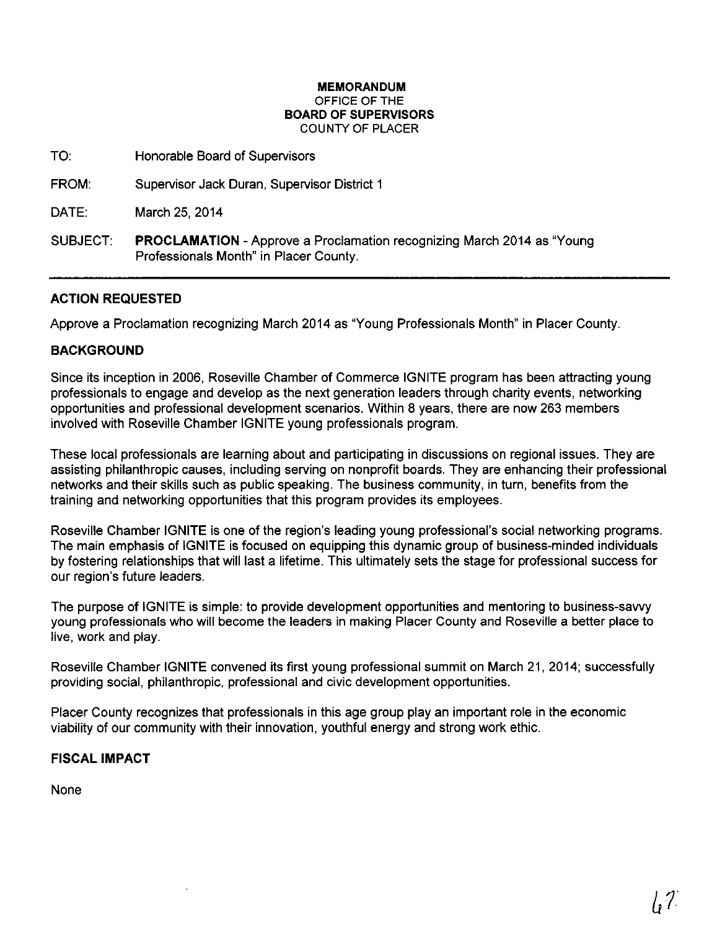#### **MEMORANDUM**  OFFICE OF THE **BOARD OF SUPERVISORS**  COUNTY OF PLACER

TO: Honorable Board of Supervisors

FROM: Supervisor Jack Duran, Supervisor District 1

DATE: March 25, 2014

SUBJECT: **PROCLAMATION-** Approve a Proclamation recognizing March 2014 as "Young Professionals Month" in Placer County.

# **ACTION REQUESTED**

Approve a Proclamation recognizing March 2014 as "Young Professionals Month" in Placer County.

### **BACKGROUND**

Since its inception in 2006, Roseville Chamber of Commerce IGNITE program has been attracting young professionals to engage and develop as the next generation leaders through charity events, networking opportunities and professional development scenarios. Within 8 years, there are now 263 members involved with Roseville Chamber IGNITE young professionals program.

These local professionals are learning about and participating in discussions on regional issues. They are assisting philanthropic causes, including serving on nonprofit boards. They are enhancing their professional networks and their skills such as public speaking. The business community, in turn, benefits from the training and networking opportunities that this program provides its employees.

Roseville Chamber IGNITE is one of the region's leading young professional's social networking programs. The main emphasis of IGNITE is focused on equipping this dynamic group of business-minded individuals by fostering relationships that will last a lifetime. This ultimately sets the stage for professional success for our region's future leaders.

The purpose of IGNITE is simple: to provide development opportunities and mentoring to business-sawy young professionals who will become the leaders in making Placer County and Roseville a better place to live, work and play.

Roseville Chamber IGNITE convened its first young professional summit on March 21, 2014; successfully providing social, philanthropic, professional and civic development opportunities.

Placer County recognizes that professionals in this age group play an important role in the economic viability of our community with their innovation, youthful energy and strong work ethic.

### **FISCAL IMPACT**

None